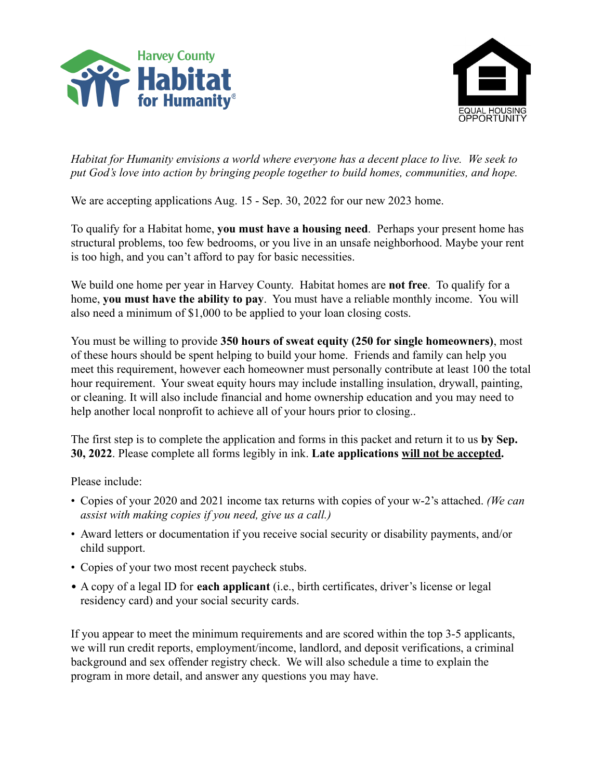



*Habitat for Humanity envisions a world where everyone has a decent place to live. We seek to put God's love into action by bringing people together to build homes, communities, and hope.*

We are accepting applications Aug. 15 - Sep. 30, 2022 for our new 2023 home.

To qualify for a Habitat home, **you must have a housing need**. Perhaps your present home has structural problems, too few bedrooms, or you live in an unsafe neighborhood. Maybe your rent is too high, and you can't afford to pay for basic necessities.

We build one home per year in Harvey County. Habitat homes are **not free**. To qualify for a home, **you must have the ability to pay**. You must have a reliable monthly income. You will also need a minimum of \$1,000 to be applied to your loan closing costs.

You must be willing to provide **350 hours of sweat equity (250 for single homeowners)**, most of these hours should be spent helping to build your home. Friends and family can help you meet this requirement, however each homeowner must personally contribute at least 100 the total hour requirement. Your sweat equity hours may include installing insulation, drywall, painting, or cleaning. It will also include financial and home ownership education and you may need to help another local nonprofit to achieve all of your hours prior to closing..

The first step is to complete the application and forms in this packet and return it to us **by Sep. 30, 2022**. Please complete all forms legibly in ink. **Late applications will not be accepted.**

Please include:

- Copies of your 2020 and 2021 income tax returns with copies of your w-2's attached. *(We can assist with making copies if you need, give us a call.)*
- Award letters or documentation if you receive social security or disability payments, and/or child support.
- Copies of your two most recent paycheck stubs.
- A copy of a legal ID for **each applicant** (i.e., birth certificates, driver's license or legal residency card) and your social security cards.

If you appear to meet the minimum requirements and are scored within the top 3-5 applicants, we will run credit reports, employment/income, landlord, and deposit verifications, a criminal background and sex offender registry check. We will also schedule a time to explain the program in more detail, and answer any questions you may have.